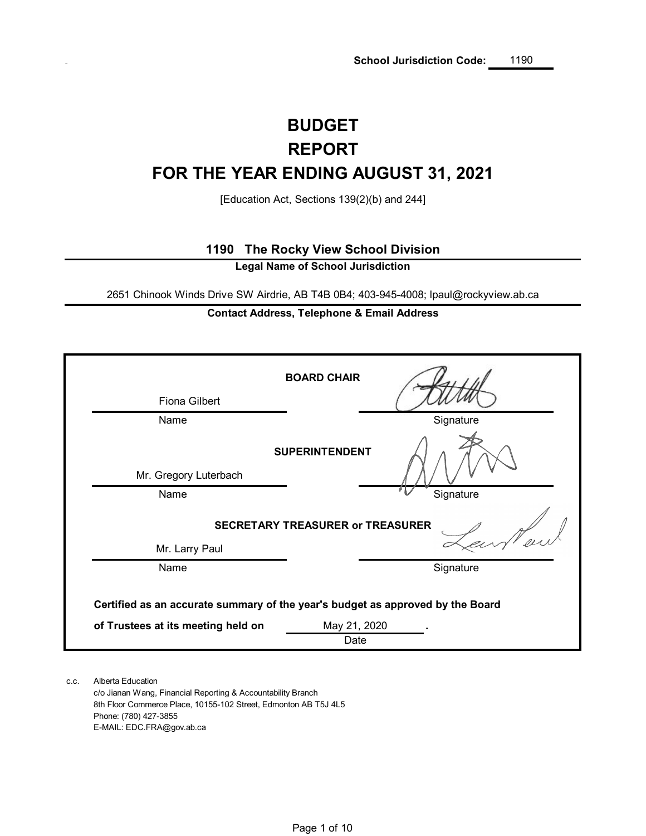# **BUDGET FOR THE YEAR ENDING AUGUST 31, 2021 REPORT**

[Education Act, Sections 139(2)(b) and 244]

### **1190 The Rocky View School Division**

**Legal Name of School Jurisdiction**

2651 Chinook Winds Drive SW Airdrie, AB T4B 0B4; 403-945-4008; lpaul@rockyview.ab.ca

### **Contact Address, Telephone & Email Address**

|                                                                                                                                      | <b>BOARD CHAIR</b>                      |           |  |  |  |  |  |  |  |
|--------------------------------------------------------------------------------------------------------------------------------------|-----------------------------------------|-----------|--|--|--|--|--|--|--|
| <b>Fiona Gilbert</b>                                                                                                                 |                                         |           |  |  |  |  |  |  |  |
| Name                                                                                                                                 |                                         | Signature |  |  |  |  |  |  |  |
|                                                                                                                                      | <b>SUPERINTENDENT</b>                   |           |  |  |  |  |  |  |  |
| Mr. Gregory Luterbach                                                                                                                |                                         |           |  |  |  |  |  |  |  |
| Name                                                                                                                                 |                                         | Signature |  |  |  |  |  |  |  |
|                                                                                                                                      | <b>SECRETARY TREASURER or TREASURER</b> |           |  |  |  |  |  |  |  |
| Mr. Larry Paul                                                                                                                       |                                         |           |  |  |  |  |  |  |  |
| Name                                                                                                                                 |                                         | Signature |  |  |  |  |  |  |  |
| Certified as an accurate summary of the year's budget as approved by the Board<br>of Trustees at its meeting held on<br>May 21, 2020 |                                         |           |  |  |  |  |  |  |  |
|                                                                                                                                      | Date                                    |           |  |  |  |  |  |  |  |

c.c. Alberta Education c/o Jianan Wang, Financial Reporting & Accountability Branch 8th Floor Commerce Place, 10155-102 Street, Edmonton AB T5J 4L5 Phone: (780) 427-3855 E-MAIL: EDC.FRA@gov.ab.ca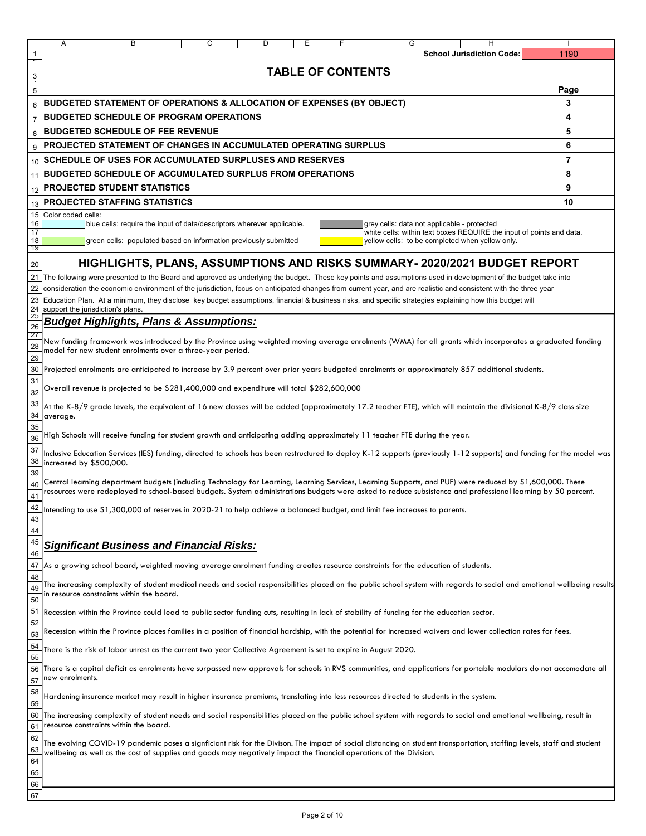|                 | Α                  | В                                                                                                                                                                                            | С | D | Ε | F.                       | G | н                                               |                                                                                                                                                                          |
|-----------------|--------------------|----------------------------------------------------------------------------------------------------------------------------------------------------------------------------------------------|---|---|---|--------------------------|---|-------------------------------------------------|--------------------------------------------------------------------------------------------------------------------------------------------------------------------------|
|                 |                    |                                                                                                                                                                                              |   |   |   |                          |   | <b>School Jurisdiction Code:</b>                | 1190                                                                                                                                                                     |
|                 |                    |                                                                                                                                                                                              |   |   |   | <b>TABLE OF CONTENTS</b> |   |                                                 |                                                                                                                                                                          |
|                 |                    |                                                                                                                                                                                              |   |   |   |                          |   |                                                 |                                                                                                                                                                          |
| 5               |                    |                                                                                                                                                                                              |   |   |   |                          |   |                                                 | Page                                                                                                                                                                     |
| $6\phantom{1}6$ |                    | <b>BUDGETED STATEMENT OF OPERATIONS &amp; ALLOCATION OF EXPENSES (BY OBJECT)</b>                                                                                                             |   |   |   |                          |   |                                                 | 3                                                                                                                                                                        |
| $\overline{7}$  |                    | <b>BUDGETED SCHEDULE OF PROGRAM OPERATIONS</b>                                                                                                                                               |   |   |   |                          |   |                                                 | 4                                                                                                                                                                        |
| 8               |                    | <b>BUDGETED SCHEDULE OF FEE REVENUE</b>                                                                                                                                                      |   |   |   |                          |   |                                                 | 5                                                                                                                                                                        |
| 9               |                    | PROJECTED STATEMENT OF CHANGES IN ACCUMULATED OPERATING SURPLUS                                                                                                                              |   |   |   |                          |   |                                                 | 6                                                                                                                                                                        |
| 10              |                    | SCHEDULE OF USES FOR ACCUMULATED SURPLUSES AND RESERVES                                                                                                                                      |   |   |   |                          |   |                                                 | 7                                                                                                                                                                        |
| 11              |                    | <b>BUDGETED SCHEDULE OF ACCUMULATED SURPLUS FROM OPERATIONS</b>                                                                                                                              |   |   |   |                          |   |                                                 | 8                                                                                                                                                                        |
| 12              |                    | <b>PROJECTED STUDENT STATISTICS</b>                                                                                                                                                          |   |   |   |                          |   |                                                 | 9                                                                                                                                                                        |
| 13              |                    | <b>PROJECTED STAFFING STATISTICS</b>                                                                                                                                                         |   |   |   |                          |   |                                                 | 10                                                                                                                                                                       |
| 15              | Color coded cells: |                                                                                                                                                                                              |   |   |   |                          |   |                                                 |                                                                                                                                                                          |
| 16<br>17        |                    | blue cells: require the input of data/descriptors wherever applicable.                                                                                                                       |   |   |   |                          |   | grey cells: data not applicable - protected     | white cells: within text boxes REQUIRE the input of points and data.                                                                                                     |
| 18              |                    | green cells: populated based on information previously submitted                                                                                                                             |   |   |   |                          |   | yellow cells: to be completed when yellow only. |                                                                                                                                                                          |
| 19              |                    |                                                                                                                                                                                              |   |   |   |                          |   |                                                 |                                                                                                                                                                          |
| 20              |                    | HIGHLIGHTS, PLANS, ASSUMPTIONS AND RISKS SUMMARY- 2020/2021 BUDGET REPORT                                                                                                                    |   |   |   |                          |   |                                                 |                                                                                                                                                                          |
|                 |                    | 21 The following were presented to the Board and approved as underlying the budget. These key points and assumptions used in development of the budget take into                             |   |   |   |                          |   |                                                 |                                                                                                                                                                          |
| 22              |                    | consideration the economic environment of the jurisdiction, focus on anticipated changes from current year, and are realistic and consistent with the three year                             |   |   |   |                          |   |                                                 |                                                                                                                                                                          |
| 23<br>24        |                    | Education Plan. At a minimum, they disclose key budget assumptions, financial & business risks, and specific strategies explaining how this budget will<br>support the jurisdiction's plans. |   |   |   |                          |   |                                                 |                                                                                                                                                                          |
| <u>25</u>       |                    | <b>Budget Highlights, Plans &amp; Assumptions:</b>                                                                                                                                           |   |   |   |                          |   |                                                 |                                                                                                                                                                          |
| 26<br><u>27</u> |                    |                                                                                                                                                                                              |   |   |   |                          |   |                                                 |                                                                                                                                                                          |
| 28              |                    | model for new student enrolments over a three-year period.                                                                                                                                   |   |   |   |                          |   |                                                 | New funding framework was introduced by the Province using weighted moving average enrolments (WMA) for all grants which incorporates a graduated funding                |
| 29              |                    |                                                                                                                                                                                              |   |   |   |                          |   |                                                 |                                                                                                                                                                          |
| 30              |                    | Projected enrolments are anticipated to increase by 3.9 percent over prior years budgeted enrolments or approximately 857 additional students.                                               |   |   |   |                          |   |                                                 |                                                                                                                                                                          |
| 31<br>32        |                    | Overall revenue is projected to be \$281,400,000 and expenditure will total \$282,600,000                                                                                                    |   |   |   |                          |   |                                                 |                                                                                                                                                                          |
| 33              |                    |                                                                                                                                                                                              |   |   |   |                          |   |                                                 |                                                                                                                                                                          |
| 34              | average.           | At the K-8/9 grade levels, the equivalent of 16 new classes will be added (approximately 17.2 teacher FTE), which will maintain the divisional K-8/9 class size                              |   |   |   |                          |   |                                                 |                                                                                                                                                                          |
|                 |                    |                                                                                                                                                                                              |   |   |   |                          |   |                                                 |                                                                                                                                                                          |
| $\frac{35}{36}$ |                    | High Schools will receive funding for student growth and anticipating adding approximately 11 teacher FTE during the year.                                                                   |   |   |   |                          |   |                                                 |                                                                                                                                                                          |
| 37              |                    |                                                                                                                                                                                              |   |   |   |                          |   |                                                 | Inclusive Education Services (IES) funding, directed to schools has been restructured to deploy K-12 supports (previously 1-12 supports) and funding for the model was   |
| 38              |                    | increased by \$500,000.                                                                                                                                                                      |   |   |   |                          |   |                                                 |                                                                                                                                                                          |
| 39<br>40        |                    | Central learning department budgets (including Technology for Learning, Learning Services, Learning Supports, and PUF) were reduced by \$1,600,000. These                                    |   |   |   |                          |   |                                                 |                                                                                                                                                                          |
| 41              |                    |                                                                                                                                                                                              |   |   |   |                          |   |                                                 | resources were redeployed to school-based budgets. System administrations budgets were asked to reduce subsistence and professional learning by 50 percent.              |
| 42              |                    | Intending to use \$1,300,000 of reserves in 2020-21 to help achieve a balanced budget, and limit fee increases to parents.                                                                   |   |   |   |                          |   |                                                 |                                                                                                                                                                          |
| 43              |                    |                                                                                                                                                                                              |   |   |   |                          |   |                                                 |                                                                                                                                                                          |
| 44              |                    |                                                                                                                                                                                              |   |   |   |                          |   |                                                 |                                                                                                                                                                          |
| 45<br>46        |                    | <b>Significant Business and Financial Risks:</b>                                                                                                                                             |   |   |   |                          |   |                                                 |                                                                                                                                                                          |
| 47              |                    | As a growing school board, weighted moving average enrolment funding creates resource constraints for the education of students.                                                             |   |   |   |                          |   |                                                 |                                                                                                                                                                          |
| 48              |                    |                                                                                                                                                                                              |   |   |   |                          |   |                                                 |                                                                                                                                                                          |
| 49              |                    | in resource constraints within the board.                                                                                                                                                    |   |   |   |                          |   |                                                 | The increasing complexity of student medical needs and social responsibilities placed on the public school system with regards to social and emotional wellbeing results |
| $\overline{50}$ |                    |                                                                                                                                                                                              |   |   |   |                          |   |                                                 |                                                                                                                                                                          |
| 51              |                    | Recession within the Province could lead to public sector funding cuts, resulting in lack of stability of funding for the education sector.                                                  |   |   |   |                          |   |                                                 |                                                                                                                                                                          |
| $\frac{52}{53}$ |                    | Recession within the Province places families in a position of financial hardship, with the potential for increased waivers and lower collection rates for fees.                             |   |   |   |                          |   |                                                 |                                                                                                                                                                          |
|                 |                    | There is the risk of labor unrest as the current two year Collective Agreement is set to expire in August 2020.                                                                              |   |   |   |                          |   |                                                 |                                                                                                                                                                          |
| $\frac{54}{55}$ |                    |                                                                                                                                                                                              |   |   |   |                          |   |                                                 |                                                                                                                                                                          |
| 56              |                    |                                                                                                                                                                                              |   |   |   |                          |   |                                                 | There is a capital deficit as enrolments have surpassed new approvals for schools in RVS communities, and applications for portable modulars do not accomodate all       |
| 57              | new enrolments.    |                                                                                                                                                                                              |   |   |   |                          |   |                                                 |                                                                                                                                                                          |
| 58<br>59        |                    | Hardening insurance market may result in higher insurance premiums, translating into less resources directed to students in the system.                                                      |   |   |   |                          |   |                                                 |                                                                                                                                                                          |
| 60              |                    |                                                                                                                                                                                              |   |   |   |                          |   |                                                 | The increasing complexity of student needs and social responsibilities placed on the public school system with regards to social and emotional wellbeing, result in      |
| 61              |                    | resource constraints within the board.                                                                                                                                                       |   |   |   |                          |   |                                                 |                                                                                                                                                                          |
| $\frac{62}{63}$ |                    |                                                                                                                                                                                              |   |   |   |                          |   |                                                 | The evolving COVID-19 pandemic poses a signficiant risk for the Divison. The impact of social distancing on student transportation, staffing levels, staff and student   |
|                 |                    | wellbeing as well as the cost of supplies and goods may negatively impact the financial operations of the Division.                                                                          |   |   |   |                          |   |                                                 |                                                                                                                                                                          |
| 64              |                    |                                                                                                                                                                                              |   |   |   |                          |   |                                                 |                                                                                                                                                                          |
| 65<br>66        |                    |                                                                                                                                                                                              |   |   |   |                          |   |                                                 |                                                                                                                                                                          |
| 67              |                    |                                                                                                                                                                                              |   |   |   |                          |   |                                                 |                                                                                                                                                                          |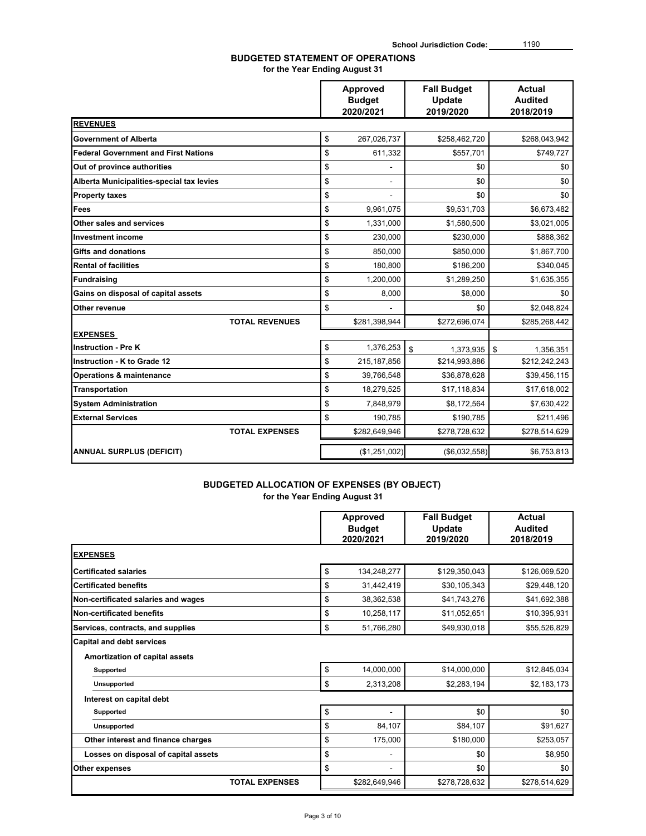# **BUDGETED STATEMENT OF OPERATIONS**

**for the Year Ending August 31**

|                                             | Approved<br><b>Budget</b><br>2020/2021 | <b>Fall Budget</b><br>Update<br>2019/2020 | <b>Actual</b><br><b>Audited</b><br>2018/2019 |
|---------------------------------------------|----------------------------------------|-------------------------------------------|----------------------------------------------|
| <b>REVENUES</b>                             |                                        |                                           |                                              |
| <b>Government of Alberta</b>                | \$<br>267,026,737                      | \$258,462,720                             | \$268,043,942                                |
| <b>Federal Government and First Nations</b> | \$<br>611,332                          | \$557,701                                 | \$749,727                                    |
| Out of province authorities                 | \$                                     | \$0                                       | \$0                                          |
| Alberta Municipalities-special tax levies   | \$                                     | \$0                                       | \$0                                          |
| <b>Property taxes</b>                       | \$                                     | \$0                                       | \$0                                          |
| Fees                                        | \$<br>9,961,075                        | \$9,531,703                               | \$6,673,482                                  |
| Other sales and services                    | \$<br>1,331,000                        | \$1,580,500                               | \$3,021,005                                  |
| <b>Investment income</b>                    | \$<br>230,000                          | \$230,000                                 | \$888,362                                    |
| <b>Gifts and donations</b>                  | \$<br>850,000                          | \$850,000                                 | \$1,867,700                                  |
| <b>Rental of facilities</b>                 | \$<br>180,800                          | \$186,200                                 | \$340,045                                    |
| <b>Fundraising</b>                          | \$<br>1,200,000                        | \$1,289,250                               | \$1,635,355                                  |
| Gains on disposal of capital assets         | \$<br>8,000                            | \$8,000                                   | \$0                                          |
| Other revenue                               | \$                                     | \$0                                       | \$2,048,824                                  |
| <b>TOTAL REVENUES</b>                       | \$281,398,944                          | \$272,696,074                             | \$285,268,442                                |
| <b>EXPENSES</b>                             |                                        |                                           |                                              |
| <b>Instruction - Pre K</b>                  | \$<br>1,376,253                        | \$<br>1,373,935                           | \$<br>1,356,351                              |
| <b>Instruction - K to Grade 12</b>          | \$<br>215, 187, 856                    | \$214,993,886                             | \$212,242,243                                |
| <b>Operations &amp; maintenance</b>         | \$<br>39,766,548                       | \$36,878,628                              | \$39,456,115                                 |
| <b>Transportation</b>                       | \$<br>18,279,525                       | \$17,118,834                              | \$17,618,002                                 |
| <b>System Administration</b>                | \$<br>7.848.979                        | \$8,172,564                               | \$7,630,422                                  |
| <b>External Services</b>                    | \$<br>190,785                          | \$190,785                                 | \$211,496                                    |
| <b>TOTAL EXPENSES</b>                       | \$282,649,946                          | \$278,728,632                             | \$278,514,629                                |
| <b>ANNUAL SURPLUS (DEFICIT)</b>             | (\$1,251,002)                          | (\$6,032,558)                             | \$6,753,813                                  |

### **BUDGETED ALLOCATION OF EXPENSES (BY OBJECT)**

**for the Year Ending August 31**

|                                                                           | Approved<br><b>Budget</b><br>2020/2021 | <b>Fall Budget</b><br>Update<br>2019/2020 | Actual<br><b>Audited</b><br>2018/2019 |
|---------------------------------------------------------------------------|----------------------------------------|-------------------------------------------|---------------------------------------|
| <b>EXPENSES</b>                                                           |                                        |                                           |                                       |
| <b>Certificated salaries</b>                                              | \$<br>134,248,277                      | \$129,350,043                             | \$126,069,520                         |
| <b>Certificated benefits</b>                                              | \$<br>31,442,419                       | \$30,105,343                              | \$29,448,120                          |
| Non-certificated salaries and wages                                       | \$<br>38,362,538                       | \$41,743,276                              | \$41,692,388                          |
| Non-certificated benefits                                                 | \$<br>10,258,117                       | \$11,052,651                              | \$10,395,931                          |
| Services, contracts, and supplies                                         | \$<br>51,766,280                       | \$49,930,018                              | \$55,526,829                          |
| <b>Capital and debt services</b><br><b>Amortization of capital assets</b> |                                        |                                           |                                       |
| Supported                                                                 | \$<br>14,000,000                       | \$14,000,000                              | \$12,845,034                          |
| Unsupported                                                               | \$<br>2,313,208                        | \$2,283,194                               | \$2,183,173                           |
| Interest on capital debt                                                  |                                        |                                           |                                       |
| Supported                                                                 | \$                                     | \$0                                       | \$0                                   |
| <b>Unsupported</b>                                                        | \$<br>84,107                           | \$84,107                                  | \$91,627                              |
| Other interest and finance charges                                        | \$<br>175,000                          | \$180,000                                 | \$253,057                             |
| Losses on disposal of capital assets                                      | \$<br>۰                                | \$0                                       | \$8,950                               |
| Other expenses                                                            | \$<br>$\overline{\phantom{0}}$         | \$0                                       | \$0                                   |
| <b>TOTAL EXPENSES</b>                                                     | \$282,649,946                          | \$278,728,632                             | \$278,514,629                         |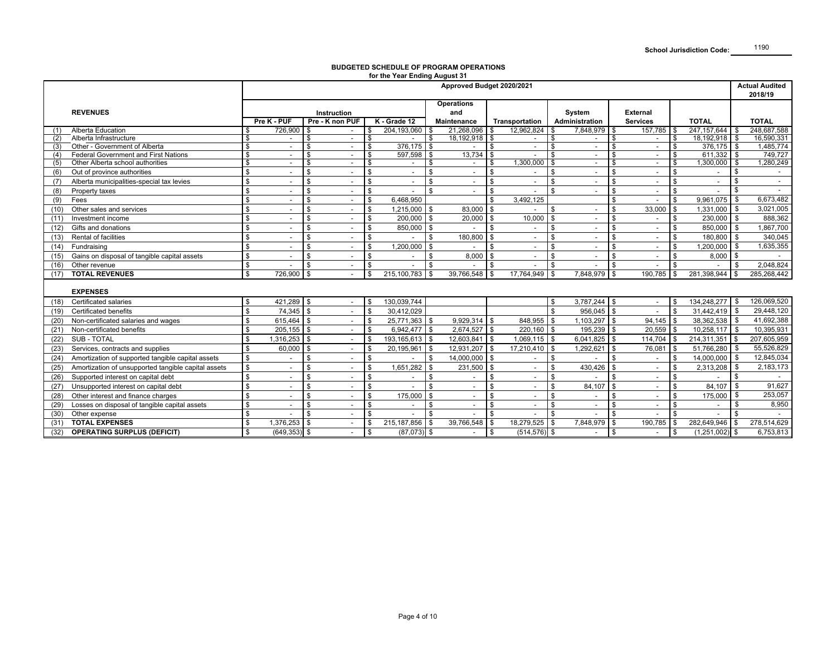#### **BUDGETED SCHEDULE OF PROGRAM OPERATIONSfor the Year Ending August 31**

|      |                                                                                 | Approved Budget 2020/2021 |                 |                         |                    |                    |                |              |                    |    |                          |        |                          |                 | <b>Actual Audited</b><br>2018/19 |              |                          |              |                      |
|------|---------------------------------------------------------------------------------|---------------------------|-----------------|-------------------------|--------------------|--------------------|----------------|--------------|--------------------|----|--------------------------|--------|--------------------------|-----------------|----------------------------------|--------------|--------------------------|--------------|----------------------|
|      |                                                                                 |                           |                 |                         |                    |                    |                |              | <b>Operations</b>  |    |                          |        |                          |                 |                                  |              |                          |              |                      |
|      | <b>REVENUES</b>                                                                 |                           |                 |                         | <b>Instruction</b> |                    |                | and          |                    |    |                          | System |                          | <b>External</b> |                                  |              |                          |              |                      |
|      |                                                                                 |                           | Pre K - PUF     |                         | Pre - K non PUF    |                    | K - Grade 12   |              | <b>Maintenance</b> |    | Transportation           |        | Administration           |                 | <b>Services</b>                  | <b>TOTAL</b> |                          | <b>TOTAL</b> |                      |
| (1)  | <b>Alberta Education</b>                                                        | \$                        | 726,900         | \$                      |                    |                    | 204,193,060    |              | 21.268.096         |    | 12,962,824               |        | 7.848.979 \$             |                 | 157.785                          | -\$          | 247.157.644              | -S           | 248.687.588          |
| (2)  | Alberta Infrastructure                                                          | \$                        |                 | \$                      |                    |                    |                |              | 18,192,918         |    |                          |        |                          |                 |                                  |              | 18,192,918               |              | 16,590,331           |
| (3)  | Other - Government of Alberta                                                   | \$                        |                 | \$                      |                    | \$<br>£.           | 376.175        | l \$         |                    |    | $\sim$                   | \$     | $\sim$                   | \$              | $\sim$                           | \$           | 376,175                  | <b>S</b>     | 1,485,774            |
| (4)  | <b>Federal Government and First Nations</b><br>Other Alberta school authorities | $\mathfrak s$<br>\$       |                 | \$<br>\$                |                    |                    | 597,598        |              | 13,734             |    | 1,300,000                |        | $\sim$<br>$\blacksquare$ | \$<br>\$        | $\sim$                           | \$.          | 611,332<br>1,300,000     | \$<br>\$     | 749,727<br>1,280,249 |
| (5)  |                                                                                 | \$                        |                 |                         |                    | \$                 |                |              |                    |    |                          |        |                          | \$.             | $\sim$                           |              |                          |              |                      |
| (6)  | Out of province authorities                                                     |                           |                 | \$                      |                    |                    |                |              |                    |    |                          |        | $\overline{\phantom{a}}$ |                 | $\sim$                           |              |                          |              |                      |
| (7)  | Alberta municipalities-special tax levies                                       | \$                        |                 | \$                      |                    | \$                 |                | £.           |                    |    |                          | \$     | $\blacksquare$           | \$.             | $\sim$                           |              | $\overline{\phantom{a}}$ |              | $\blacksquare$       |
| (8)  | Property taxes                                                                  | \$                        |                 | \$                      |                    | \$                 |                | \$           |                    |    |                          | \$     |                          | \$              | $\sim$                           | \$           |                          |              |                      |
| (9)  | Fees                                                                            | \$                        |                 | \$                      |                    | $\mathbf{\hat{S}}$ | 6,468,950      |              |                    |    | 3,492,125                |        |                          | \$              |                                  | \$           | 9,961,075                | \$           | 6,673,482            |
| (10) | Other sales and services                                                        | \$                        |                 | \$                      |                    | $\mathbf{\hat{S}}$ | 1,215,000      |              | 83,000             |    |                          |        | $\sim$                   | \$              | 33,000                           | £.           | 1,331,000                | \$           | 3,021,005            |
| (11) | Investment income                                                               | \$                        |                 | \$                      |                    | \$                 | 200.000        | \$           | 20,000             |    | 10,000                   | \$     |                          | \$              |                                  | \$           | 230,000                  | <b>\$</b>    | 888,362              |
| (12) | Gifts and donations                                                             | \$                        |                 | \$                      |                    | \$                 | 850,000        | l \$         |                    |    |                          | \$     | $\overline{\phantom{a}}$ | \$              |                                  | \$           | 850,000                  | $\sqrt{3}$   | 1,867,700            |
| (13) | Rental of facilities                                                            | \$                        |                 | \$                      |                    | $\mathbf{\hat{S}}$ |                | ς.           | 180,800            |    | $\overline{\phantom{a}}$ | \$     | $\overline{\phantom{a}}$ | \$              | $\sim$                           | \$           | 180,800                  | l \$         | 340,045              |
| (14) | Fundraising                                                                     | \$                        |                 | \$                      |                    | $\mathbf{\hat{S}}$ | 1,200,000      | \$           |                    |    |                          | \$     | $\sim$                   | \$              | $\sim$                           | \$           | 1,200,000                | \$           | 1,635,355            |
| (15) | Gains on disposal of tangible capital assets                                    | \$                        |                 | \$                      |                    | \$                 |                | -S           | 8.000              |    |                          | \$     | $\overline{\phantom{a}}$ | \$              | $\sim$                           | \$           | 8,000                    | \$           |                      |
| (16) | Other revenue                                                                   | \$                        |                 | \$                      |                    |                    |                | $\mathbf{f}$ |                    |    |                          |        |                          | \$.             |                                  | \$           |                          |              | 2,048,824            |
| (17) | <b>TOTAL REVENUES</b>                                                           | $\overline{\mathbf{s}}$   | 726.900         | \$                      |                    |                    | 215,100,783    | -\$          | 39.766.548         |    | 17.764.949 \$            |        | 7.848.979                | <b>\$</b>       | 190.785                          | \$.          | 281,398,944              | \$.          | 285,268,442          |
|      |                                                                                 |                           |                 |                         |                    |                    |                |              |                    |    |                          |        |                          |                 |                                  |              |                          |              |                      |
|      | <b>EXPENSES</b>                                                                 |                           |                 |                         |                    |                    |                |              |                    |    |                          |        |                          |                 |                                  |              |                          |              |                      |
| (18) | Certificated salaries                                                           | \$                        | 421,289         | l \$                    |                    |                    | 130,039,744    |              |                    |    |                          | . ድ    | $3,787,244$ \$           |                 | $\sim$                           |              | 134,248,277              | \$           | 126,069,520          |
| (19) | <b>Certificated benefits</b>                                                    | \$                        | 74.345          | $\mathbf{\mathfrak{F}}$ |                    |                    | 30.412.029     |              |                    |    |                          |        | 956,045                  | \$              |                                  | £.           | 31.442.419               |              | 29,448,120           |
| (20) | Non-certificated salaries and wages                                             | \$                        | 615.464         | l \$                    |                    | \$.                | 25.771.363     | -\$          | $9.929.314$ \$     |    | 848.955                  |        | 1.103.297                | \$              | 94.145                           |              | 38.362.538               | - \$         | 41,692,388           |
| (21) | Non-certificated benefits                                                       | \$                        | $205,155$ \$    |                         |                    | \$.                | 6,942,477      | <b>S</b>     | 2,674,527 \$       |    | 220.160 \$               |        | 195,239 \$               |                 | 20,559                           | \$           | 10.258.117               | -\$          | 10,395,931           |
| (22) | <b>SUB - TOTAL</b>                                                              | \$                        | $1,316,253$ \$  |                         |                    | $\mathbf{\hat{S}}$ | 193,165,613 \$ |              | 12,603,841 \$      |    | $1,069,115$ \$           |        | $6,041,825$ \$           |                 | 114,704                          |              | 214,311,351              | \$           | 207,605,959          |
| (23) | Services, contracts and supplies                                                | \$                        | 60,000          | \$                      |                    |                    | 20,195,961     |              | 12,931,207         |    | 17,210,410               |        | 1,292,621                | $\cdot$ \$      | 76,081                           | . ድ          | 51,766,280               |              | 55,526,829           |
| (24) | Amortization of supported tangible capital assets                               | \$                        |                 | \$.                     |                    | \$                 |                |              | 14,000,000         |    |                          | \$     |                          | \$.             |                                  | \$.          | 14,000,000               | -\$          | 12,845,034           |
| (25) | Amortization of unsupported tangible capital assets                             | \$                        |                 | \$.                     |                    |                    | 1.651.282      |              | 231,500            |    |                          | \$.    | 430,426                  | \$              | $\sim$                           | \$           | 2,313,208                | -\$          | 2,183,173            |
| (26) | Supported interest on capital debt                                              | \$                        |                 | \$                      |                    | \$                 |                | \$           |                    |    |                          | \$     |                          | ፍ               |                                  | \$           |                          |              |                      |
| (27) | Unsupported interest on capital debt                                            | \$                        |                 | \$                      |                    | \$                 |                |              |                    |    |                          | \$     | 84,107                   | \$              |                                  | \$           | 84,107                   |              | 91,627               |
| (28) | Other interest and finance charges                                              | \$                        |                 | \$                      |                    | \$.                | 175,000        |              |                    |    |                          |        |                          |                 | $\sim$                           |              | 175,000                  |              | 253,057              |
| (29) | Losses on disposal of tangible capital assets                                   | $\sqrt{3}$                |                 | \$                      |                    | \$                 |                | $\mathbf{f}$ |                    |    |                          |        | $\sim$                   |                 | $\sim$                           | \$           |                          |              | 8,950                |
| (30) | Other expense                                                                   | \$                        |                 | \$                      |                    | \$.                |                |              |                    |    |                          |        | $\overline{\phantom{a}}$ | \$.             | $\overline{\phantom{a}}$         | £.           |                          |              |                      |
| (31) | <b>TOTAL EXPENSES</b>                                                           | \$                        | $1,376,253$ \$  |                         |                    |                    | 215.187.856    | - \$         | 39,766,548         |    | 18,279,525 \$            |        | 7,848,979                | \$              | 190,785                          | \$           | 282,649,946              | \$           | 278,514,629          |
| (32) | <b>OPERATING SURPLUS (DEFICIT)</b>                                              | \$                        | $(649, 353)$ \$ |                         |                    | \$                 | $(87,073)$ \$  |              |                    | \$ | $(514, 576)$ \$          |        |                          | \$              |                                  | \$           | $(1,251,002)$ \$         |              | 6,753,813            |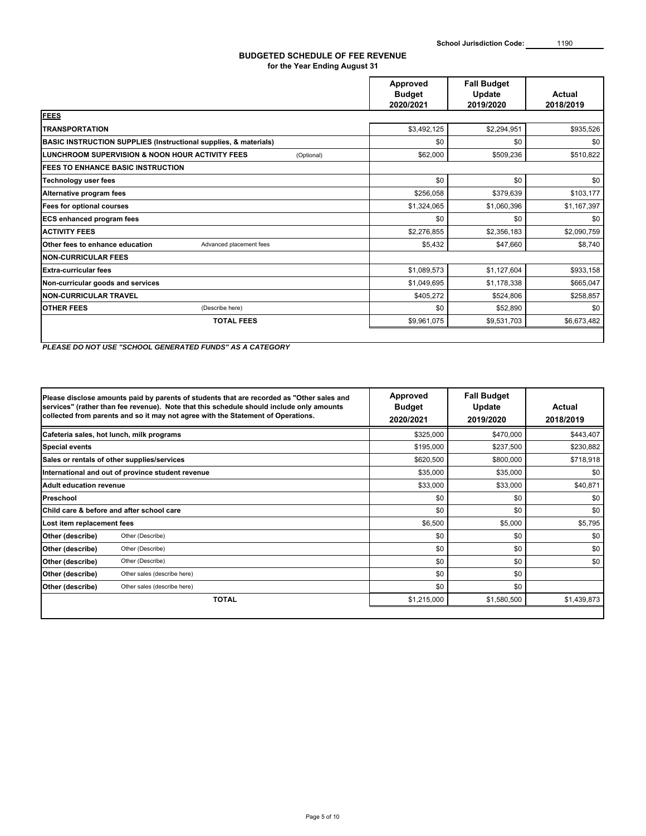#### **BUDGETED SCHEDULE OF FEE REVENUE for the Year Ending August 31**

|                                                                   | Approved<br><b>Budget</b><br>2020/2021 | <b>Fall Budget</b><br>Update<br>2019/2020 | Actual<br>2018/2019 |
|-------------------------------------------------------------------|----------------------------------------|-------------------------------------------|---------------------|
| <b>FEES</b>                                                       |                                        |                                           |                     |
| <b>TRANSPORTATION</b>                                             | \$3,492,125                            | \$2,294,951                               | \$935,526           |
| BASIC INSTRUCTION SUPPLIES (Instructional supplies, & materials)  | \$0                                    | \$0                                       | \$0                 |
| LUNCHROOM SUPERVISION & NOON HOUR ACTIVITY FEES<br>(Optional)     | \$62,000                               | \$509,236                                 | \$510,822           |
| <b>IFEES TO ENHANCE BASIC INSTRUCTION</b>                         |                                        |                                           |                     |
| <b>Technology user fees</b>                                       | \$0                                    | \$0                                       | \$0                 |
| Alternative program fees                                          | \$256,058                              | \$379,639                                 | \$103,177           |
| <b>Fees for optional courses</b>                                  | \$1,324,065                            | \$1,060,396                               | \$1,167,397         |
| <b>ECS enhanced program fees</b>                                  | \$0                                    | \$0                                       | \$0                 |
| <b>ACTIVITY FEES</b>                                              | \$2,276,855                            | \$2,356,183                               | \$2,090,759         |
| <b>Other fees to enhance education</b><br>Advanced placement fees | \$5,432                                | \$47,660                                  | \$8,740             |
| <b>INON-CURRICULAR FEES</b>                                       |                                        |                                           |                     |
| <b>Extra-curricular fees</b>                                      | \$1,089,573                            | \$1,127,604                               | \$933,158           |
| Non-curricular goods and services                                 | \$1,049,695                            | \$1,178,338                               | \$665,047           |
| <b>NON-CURRICULAR TRAVEL</b>                                      | \$405,272                              | \$524,806                                 | \$258,857           |
| <b>OTHER FEES</b><br>(Describe here)                              | \$0                                    | \$52,890                                  | \$0                 |
| <b>TOTAL FEES</b>                                                 | \$9,961,075                            | \$9,531,703                               | \$6,673,482         |

*PLEASE DO NOT USE "SCHOOL GENERATED FUNDS" AS A CATEGORY*

|                                             | Please disclose amounts paid by parents of students that are recorded as "Other sales and<br>services" (rather than fee revenue). Note that this schedule should include only amounts<br>collected from parents and so it may not agree with the Statement of Operations. | Approved<br><b>Budget</b><br>2020/2021 | <b>Fall Budget</b><br>Update<br>2019/2020 | Actual<br>2018/2019 |
|---------------------------------------------|---------------------------------------------------------------------------------------------------------------------------------------------------------------------------------------------------------------------------------------------------------------------------|----------------------------------------|-------------------------------------------|---------------------|
| Cafeteria sales, hot lunch, milk programs   |                                                                                                                                                                                                                                                                           | \$325,000                              | \$470,000                                 | \$443,407           |
| <b>Special events</b>                       |                                                                                                                                                                                                                                                                           | \$195,000                              | \$237,500                                 | \$230,882           |
| Sales or rentals of other supplies/services |                                                                                                                                                                                                                                                                           | \$620,500                              | \$800,000                                 | \$718,918           |
|                                             | International and out of province student revenue                                                                                                                                                                                                                         | \$35,000                               | \$35,000                                  | \$0                 |
| Adult education revenue                     |                                                                                                                                                                                                                                                                           | \$33,000                               | \$33,000                                  | \$40,871            |
| <b>Preschool</b>                            |                                                                                                                                                                                                                                                                           | \$0                                    | \$0                                       | \$0                 |
| Child care & before and after school care   |                                                                                                                                                                                                                                                                           | \$0                                    | \$0                                       | \$0                 |
| Lost item replacement fees                  |                                                                                                                                                                                                                                                                           | \$6,500                                | \$5,000                                   | \$5,795             |
| Other (describe)                            | Other (Describe)                                                                                                                                                                                                                                                          | \$0                                    | \$0                                       | \$0                 |
| Other (describe)                            | Other (Describe)                                                                                                                                                                                                                                                          | \$0                                    | \$0                                       | \$0                 |
| Other (describe)                            | Other (Describe)                                                                                                                                                                                                                                                          | \$0                                    | \$0                                       | \$0                 |
| Other (describe)                            | Other sales (describe here)                                                                                                                                                                                                                                               | \$0                                    | \$0                                       |                     |
| Other (describe)                            | Other sales (describe here)                                                                                                                                                                                                                                               | \$0                                    | \$0                                       |                     |
|                                             | <b>TOTAL</b>                                                                                                                                                                                                                                                              | \$1,215,000                            | \$1,580,500                               | \$1,439,873         |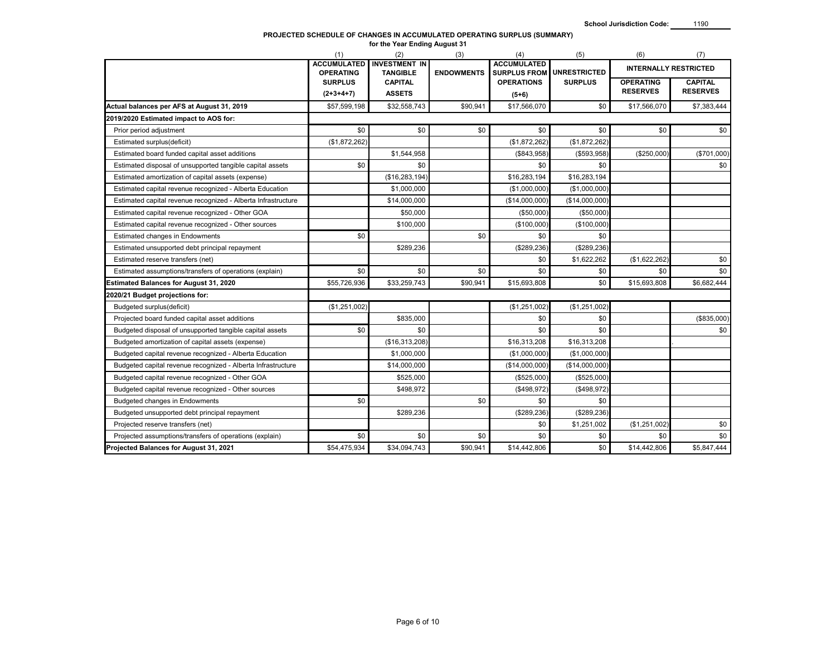#### **PROJECTED SCHEDULE OF CHANGES IN ACCUMULATED OPERATING SURPLUS (SUMMARY) for the Year Ending August 31**

|                                                               | (1)                                    | (2)                                     | (3)               | (4)                                       | (5)                 | (6)              | (7)                          |
|---------------------------------------------------------------|----------------------------------------|-----------------------------------------|-------------------|-------------------------------------------|---------------------|------------------|------------------------------|
|                                                               | <b>ACCUMULATED</b><br><b>OPERATING</b> | <b>INVESTMENT IN</b><br><b>TANGIBLE</b> | <b>ENDOWMENTS</b> | <b>ACCUMULATED</b><br><b>SURPLUS FROM</b> | <b>UNRESTRICTED</b> |                  | <b>INTERNALLY RESTRICTED</b> |
|                                                               | <b>SURPLUS</b>                         | <b>CAPITAL</b>                          |                   | <b>OPERATIONS</b>                         | <b>SURPLUS</b>      | <b>OPERATING</b> | <b>CAPITAL</b>               |
|                                                               | $(2+3+4+7)$                            | <b>ASSETS</b>                           |                   | $(5+6)$                                   |                     | <b>RESERVES</b>  | <b>RESERVES</b>              |
| Actual balances per AFS at August 31, 2019                    | \$57,599,198                           | \$32,558,743                            | \$90,941          | \$17,566,070                              | \$0                 | \$17,566,070     | \$7,383,444                  |
| 2019/2020 Estimated impact to AOS for:                        |                                        |                                         |                   |                                           |                     |                  |                              |
| Prior period adjustment                                       | \$0                                    | \$0                                     | \$0               | \$0                                       | \$0                 | \$0              | \$0                          |
| Estimated surplus(deficit)                                    | (\$1,872,262)                          |                                         |                   | (\$1,872,262)                             | (\$1,872,262)       |                  |                              |
| Estimated board funded capital asset additions                |                                        | \$1,544,958                             |                   | (\$843,958)                               | ( \$593, 958)       | (\$250,000)      | (\$701,000)                  |
| Estimated disposal of unsupported tangible capital assets     | \$0                                    | \$0                                     |                   | \$0                                       | \$0                 |                  | \$0                          |
| Estimated amortization of capital assets (expense)            |                                        | (\$16, 283, 194)                        |                   | \$16,283,194                              | \$16,283,194        |                  |                              |
| Estimated capital revenue recognized - Alberta Education      |                                        | \$1,000,000                             |                   | (\$1,000,000)                             | (\$1,000,000)       |                  |                              |
| Estimated capital revenue recognized - Alberta Infrastructure |                                        | \$14,000,000                            |                   | (\$14,000,000)                            | (\$14,000,000)      |                  |                              |
| Estimated capital revenue recognized - Other GOA              |                                        | \$50,000                                |                   | (\$50,000)                                | (\$50,000)          |                  |                              |
| Estimated capital revenue recognized - Other sources          |                                        | \$100,000                               |                   | (\$100,000)                               | (\$100,000)         |                  |                              |
| Estimated changes in Endowments                               | \$0                                    |                                         | \$0               | \$0                                       | \$0                 |                  |                              |
| Estimated unsupported debt principal repayment                |                                        | \$289,236                               |                   | (\$289, 236)                              | (\$289, 236)        |                  |                              |
| Estimated reserve transfers (net)                             |                                        |                                         |                   | \$0                                       | \$1,622,262         | (\$1,622,262)    | \$0                          |
| Estimated assumptions/transfers of operations (explain)       | \$0                                    | \$0                                     | \$0               | \$0                                       | \$0                 | \$0              | \$0                          |
| <b>Estimated Balances for August 31, 2020</b>                 | \$55,726,936                           | \$33,259,743                            | \$90,941          | \$15,693,808                              | \$0                 | \$15,693,808     | \$6,682,444                  |
| 2020/21 Budget projections for:                               |                                        |                                         |                   |                                           |                     |                  |                              |
| Budgeted surplus(deficit)                                     | (\$1,251,002)                          |                                         |                   | (\$1,251,002)                             | (\$1,251,002)       |                  |                              |
| Projected board funded capital asset additions                |                                        | \$835,000                               |                   | \$0                                       | \$0                 |                  | (\$835,000)                  |
| Budgeted disposal of unsupported tangible capital assets      | \$0                                    | \$0                                     |                   | \$0                                       | \$0                 |                  | \$0                          |
| Budgeted amortization of capital assets (expense)             |                                        | (\$16,313,208)                          |                   | \$16,313,208                              | \$16,313,208        |                  |                              |
| Budgeted capital revenue recognized - Alberta Education       |                                        | \$1,000,000                             |                   | (\$1,000,000)                             | (\$1,000,000)       |                  |                              |
| Budgeted capital revenue recognized - Alberta Infrastructure  |                                        | \$14,000,000                            |                   | (\$14,000,000)                            | (\$14,000,000)      |                  |                              |
| Budgeted capital revenue recognized - Other GOA               |                                        | \$525,000                               |                   | (\$525,000)                               | (\$525,000)         |                  |                              |
| Budgeted capital revenue recognized - Other sources           |                                        | \$498,972                               |                   | (\$498,972)                               | (\$498,972)         |                  |                              |
| <b>Budgeted changes in Endowments</b>                         | \$0                                    |                                         | \$0               | \$0                                       | \$0                 |                  |                              |
| Budgeted unsupported debt principal repayment                 |                                        | \$289,236                               |                   | (\$289, 236)                              | (\$289, 236)        |                  |                              |
| Projected reserve transfers (net)                             |                                        |                                         |                   | \$0                                       | \$1,251,002         | (\$1,251,002)    | \$0                          |
| Projected assumptions/transfers of operations (explain)       | \$0                                    | \$0                                     | \$0               | \$0                                       | \$0                 | \$0              | \$0                          |
| Projected Balances for August 31, 2021                        | \$54,475,934                           | \$34,094,743                            | \$90,941          | \$14,442,806                              | \$0                 | \$14,442,806     | \$5,847,444                  |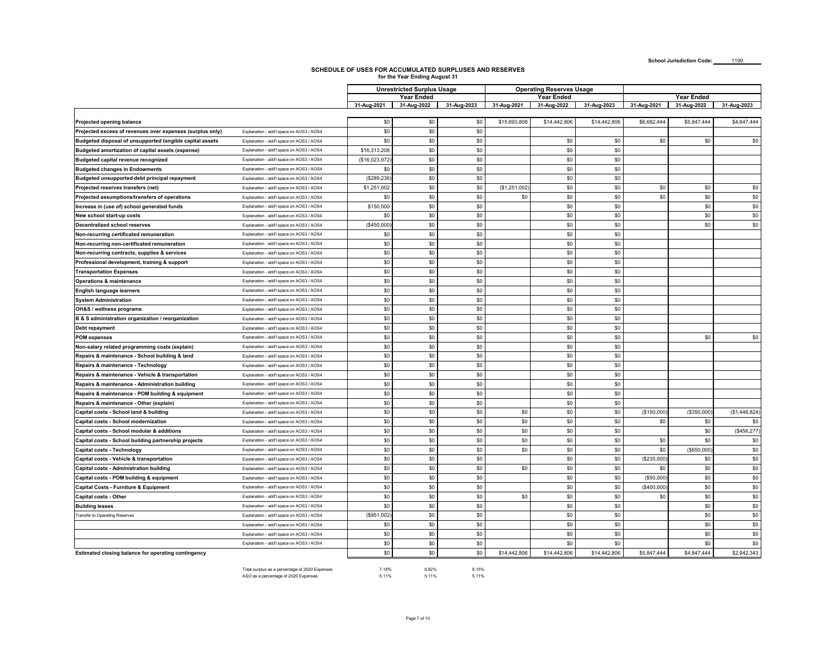**School Jurisdiction Code:** 1190

# **SCHEDULE OF USES FOR ACCUMULATED SURPLUSES AND RESERVES for the Year Ending August 31**

|                                                            |                                          | <b>Unrestricted Surplus Usage</b> |                   |             |              | <b>Operating Reserves Usage</b> |              |             |             |              |  |
|------------------------------------------------------------|------------------------------------------|-----------------------------------|-------------------|-------------|--------------|---------------------------------|--------------|-------------|-------------|--------------|--|
|                                                            |                                          |                                   | <b>Year Ended</b> |             |              | <b>Year Ended</b>               |              |             | Year Ended  |              |  |
|                                                            |                                          | 31-Aug-2021                       | 31-Aug-2022       | 31-Aug-2023 | 31-Aug-2021  | 31-Aug-2022                     | 31-Aug-2023  | 31-Aug-2021 | 31-Aug-2022 | 31-Aug-2023  |  |
|                                                            |                                          |                                   |                   |             |              |                                 |              |             |             |              |  |
| Projected opening balance                                  |                                          | \$0                               | \$0               | \$0         | \$15,693,808 | \$14,442,806                    | \$14,442,806 | \$6,682,444 | \$5,847,444 | \$4,847,444  |  |
| Projected excess of revenues over expenses (surplus only)  | Explanation - add'l space on AOS3 / AOS4 | \$0                               | \$0               | \$0         |              |                                 |              |             |             |              |  |
| Budgeted disposal of unsupported tangible capital assets   | Explanation - add'l space on AOS3 / AOS4 | \$0                               | \$0               | \$0         |              | \$0                             | \$0          | \$0         | \$0         | \$0          |  |
| Budgeted amortization of capital assets (expense)          | Explanation - add'l space on AOS3 / AOS4 | \$16,313,208                      | \$0               | \$0         |              | \$0                             | \$0          |             |             |              |  |
| Budgeted capital revenue recognized                        | Explanation - add'l space on AOS3 / AOS4 | (\$16,023,972                     | \$0               | \$0         |              | \$0                             | \$0          |             |             |              |  |
| <b>Budgeted changes in Endowments</b>                      | Explanation - add'l space on AOS3 / AOS4 | \$0                               | \$0               | \$0         |              | \$0                             | \$0          |             |             |              |  |
| Budgeted unsupported debt principal repayment              | Explanation - add'l space on AOS3 / AOS4 | (\$289,236                        | \$0               | \$0         |              | \$0                             | \$0          |             |             |              |  |
| Projected reserves transfers (net)                         | Explanation - add'l space on AOS3 / AOS4 | \$1,251,002                       | \$0               | \$0         | (\$1,251,002 | \$0                             | \$0          | \$0         | \$0         | \$0          |  |
| Projected assumptions/transfers of operations              | Explanation - add'l space on AOS3 / AOS4 | \$0                               | \$0               | \$0         | \$0          | \$0                             | \$0          | \$0         | \$0         | \$0          |  |
| Increase in (use of) school generated funds                | Explanation - add'l space on AOS3 / AOS4 | \$150,000                         | \$0               | \$0         |              | \$0                             | \$0          |             | \$0         | \$0          |  |
| New school start-up costs                                  | Explanation - add'l space on AOS3 / AOS4 | \$0                               | \$0               | \$0         |              | \$0                             | \$0          |             | \$0         | \$0          |  |
| <b>Decentralized school reserves</b>                       | Explanation - add'l space on AOS3 / AOS4 | (\$450,000]                       | \$0               | \$0         |              | \$0                             | \$0          |             | \$0         | \$0          |  |
| Non-recurring certificated remuneration                    | Explanation - add'l space on AOS3 / AOS4 | \$0                               | \$0               | \$0         |              | \$0                             | \$0          |             |             |              |  |
| Non-recurring non-certificated remuneration                | Explanation - add'l space on AOS3 / AOS4 | \$0                               | \$0               | \$0         |              | \$0                             | \$0          |             |             |              |  |
| Non-recurring contracts, supplies & services               | Explanation - add'l space on AOS3 / AOS4 | \$0                               | \$0               | \$0         |              | \$0                             | \$0          |             |             |              |  |
| Professional development, training & support               | Explanation - add'l space on AOS3 / AOS4 | \$0                               | \$0               | \$0         |              | \$0                             | \$0          |             |             |              |  |
| Transportation Expenses                                    | Explanation - add'l space on AOS3 / AOS4 | \$0                               | \$0               | \$0         |              | \$0                             | \$0          |             |             |              |  |
| <b>Operations &amp; maintenance</b>                        | Explanation - add'l space on AOS3 / AOS4 | \$0                               | \$0               | \$0         |              | \$0                             | \$0          |             |             |              |  |
| <b>English language learners</b>                           | Explanation - add'l space on AOS3 / AOS4 | \$0                               | \$0               | \$0         |              | \$0                             | \$0          |             |             |              |  |
| <b>System Administration</b>                               | Explanation - add'l space on AOS3 / AOS4 | \$0                               | \$0               | \$0         |              | \$0                             | \$0          |             |             |              |  |
| OH&S / wellness programs                                   | Explanation - add'l space on AOS3 / AOS4 | \$0                               | \$0               | \$0         |              | \$0                             | \$0          |             |             |              |  |
| B & S administration organization / reorganization         | Explanation - add'l space on AOS3 / AOS4 | \$0                               | \$0               | \$0         |              | \$0                             | \$0          |             |             |              |  |
| Debt repayment                                             | Explanation - add'l space on AOS3 / AOS4 | \$0                               | \$0               | \$0         |              | \$0                             | \$0          |             |             |              |  |
| <b>POM</b> expenses                                        | Explanation - add'l space on AOS3 / AOS4 | \$0                               | \$0               | \$0         |              | \$0                             | \$0          |             | \$0         | \$0          |  |
| Non-salary related programming costs (explain)             | Explanation - add'l space on AOS3 / AOS4 | \$0                               | \$0               | \$0         |              | \$0                             | \$0          |             |             |              |  |
| Repairs & maintenance - School building & land             | Explanation - add'l space on AOS3 / AOS4 | \$0                               | \$0               | \$0         |              | \$0                             | \$0          |             |             |              |  |
| Repairs & maintenance - Technology                         | Explanation - add'l space on AOS3 / AOS4 | \$0                               | \$0               | \$0         |              | \$0                             | \$0          |             |             |              |  |
| Repairs & maintenance - Vehicle & transportation           | Explanation - add'l space on AOS3 / AOS4 | \$0                               | \$0               | \$0         |              | \$0                             | \$0          |             |             |              |  |
| Repairs & maintenance - Administration building            | Explanation - add'l space on AOS3 / AOS4 | \$0                               | \$0               | \$0         |              | \$0                             | \$0          |             |             |              |  |
| Repairs & maintenance - POM building & equipment           | Explanation - add'l space on AOS3 / AOS4 | \$0                               | \$0               | \$0         |              | \$0                             | \$0          |             |             |              |  |
| Repairs & maintenance - Other (explain)                    | Explanation - add'l space on AOS3 / AOS4 | \$0                               | \$0               | \$0         |              | \$0                             | \$0          |             |             |              |  |
| Capital costs - School land & building                     | Explanation - add'l space on AOS3 / AOS4 | \$0                               | \$0               | \$0         | \$0          | \$0                             | \$0          | (\$150,000  | (\$350,000  | (\$1,448,824 |  |
| Capital costs - School modernization                       | Explanation - add'l space on AOS3 / AOS4 | \$0                               | \$0               | \$0         | \$0          | \$0                             | \$0          | \$0         | \$0         | \$0          |  |
| Capital costs - School modular & additions                 | Explanation - add'l space on AOS3 / AOS4 | \$0                               | \$0               | \$0         | \$0          | \$0                             | \$0          |             | \$0         | (\$456,277   |  |
| Capital costs - School building partnership projects       | Explanation - add'l space on AOS3 / AOS4 | \$0                               | \$0               | \$0         | \$0          | \$0                             | \$0          | \$0         | \$0         | \$0          |  |
| Capital costs - Technology                                 | Explanation - add'l space on AOS3 / AOS4 | \$0                               | \$0               | \$0         | \$0          | \$0                             | \$0          | \$0         | (\$650,000  | \$0          |  |
| Capital costs - Vehicle & transportation                   | Explanation - add'l space on AOS3 / AOS4 | \$0                               | \$0               | \$0         |              | \$0                             | \$0          | (\$235,000) | \$0         | \$0          |  |
| Capital costs - Administration building                    | Explanation - add'l space on AOS3 / AOS4 | \$0                               | \$0               | \$0         | \$0          | \$0                             | \$0          | \$0         | \$0         | \$0          |  |
| Capital costs - POM building & equipment                   | Explanation - add'l space on AOS3 / AOS4 | \$0                               | \$0               | \$0         |              | \$0                             | \$0          | (\$50,000"  | \$0         | \$0          |  |
| <b>Capital Costs - Furniture &amp; Equipment</b>           | Explanation - add'l space on AOS3 / AOS4 | \$0                               | \$0               | \$0         |              | \$0                             | \$0          | (\$400,000] | \$0         | \$0          |  |
| Capital costs - Other                                      | Explanation - add'l space on AOS3 / AOS4 | \$0                               | \$0               | \$0         | \$0          | \$0                             | \$0          | \$0         | \$0         | \$0          |  |
| <b>Building leases</b>                                     | Explanation - add'l space on AOS3 / AOS4 | \$0                               | \$0               | \$0         |              | \$0                             | \$0          |             | \$0         | \$0          |  |
| <b>Transfer to Operating Reserves</b>                      | Explanation - add'l space on AOS3 / AOS4 | (\$951,002)                       | \$0               | \$0         |              | \$0                             | \$0          |             | \$0         | \$0          |  |
|                                                            | Explanation - add'l space on AOS3 / AOS4 | \$0                               | \$0               | \$0         |              | \$0                             | \$0          |             | \$0         | \$0          |  |
|                                                            | Explanation - add'l space on AOS3 / AOS4 | \$0                               | \$0               | \$0         |              | \$0                             | \$0          |             | \$0         | \$0          |  |
|                                                            | Explanation - add'l space on AOS3 / AOS4 | \$0                               | \$0               | \$0         |              | \$0                             | \$0          |             | \$0         | \$0          |  |
| <b>Estimated closing balance for operating contingency</b> |                                          | \$0                               | \$0               | \$0         | \$14,442,806 | \$14,442,806                    | \$14,442,806 | \$5,847,444 | \$4,847,444 | \$2,942,343  |  |

Total surplus as a percentage of 2020 Expenses 7.18% 6.82% 6.15% ASO as a percentage of 2020 Expenses 5.11% 5.11% 5.11%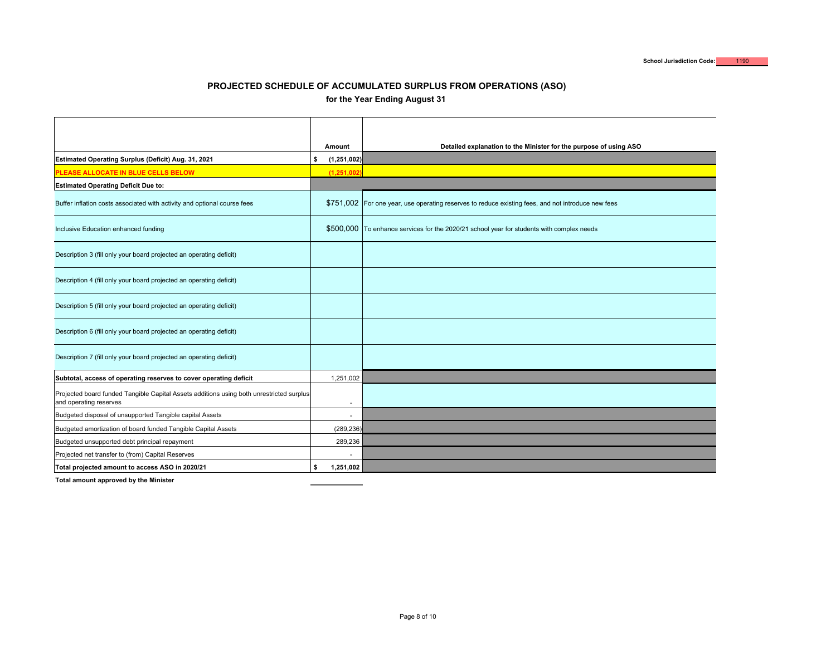### **PROJECTED SCHEDULE OF ACCUMULATED SURPLUS FROM OPERATIONS (ASO) for the Year Ending August 31**

|                                                                                                                    | Amount                   | Detailed explanation to the Minister for the purpose of using ASO                                  |
|--------------------------------------------------------------------------------------------------------------------|--------------------------|----------------------------------------------------------------------------------------------------|
| Estimated Operating Surplus (Deficit) Aug. 31, 2021                                                                | \$<br>(1, 251, 002)      |                                                                                                    |
| PLEASE ALLOCATE IN BLUE CELLS BELOW                                                                                | (1, 251, 002)            |                                                                                                    |
| <b>Estimated Operating Deficit Due to:</b>                                                                         |                          |                                                                                                    |
| Buffer inflation costs associated with activity and optional course fees                                           |                          | \$751,002 For one year, use operating reserves to reduce existing fees, and not introduce new fees |
| Inclusive Education enhanced funding                                                                               |                          | \$500,000 To enhance services for the 2020/21 school year for students with complex needs          |
| Description 3 (fill only your board projected an operating deficit)                                                |                          |                                                                                                    |
| Description 4 (fill only your board projected an operating deficit)                                                |                          |                                                                                                    |
| Description 5 (fill only your board projected an operating deficit)                                                |                          |                                                                                                    |
| Description 6 (fill only your board projected an operating deficit)                                                |                          |                                                                                                    |
| Description 7 (fill only your board projected an operating deficit)                                                |                          |                                                                                                    |
| Subtotal, access of operating reserves to cover operating deficit                                                  | 1,251,002                |                                                                                                    |
| Projected board funded Tangible Capital Assets additions using both unrestricted surplus<br>and operating reserves | $\blacksquare$           |                                                                                                    |
| Budgeted disposal of unsupported Tangible capital Assets                                                           | $\blacksquare$           |                                                                                                    |
| Budgeted amortization of board funded Tangible Capital Assets                                                      | (289, 236)               |                                                                                                    |
| Budgeted unsupported debt principal repayment                                                                      | 289,236                  |                                                                                                    |
| Projected net transfer to (from) Capital Reserves                                                                  | $\overline{\phantom{a}}$ |                                                                                                    |
| Total projected amount to access ASO in 2020/21                                                                    | \$<br>1,251,002          |                                                                                                    |

**Total amount approved by the Minister**

 $\sim$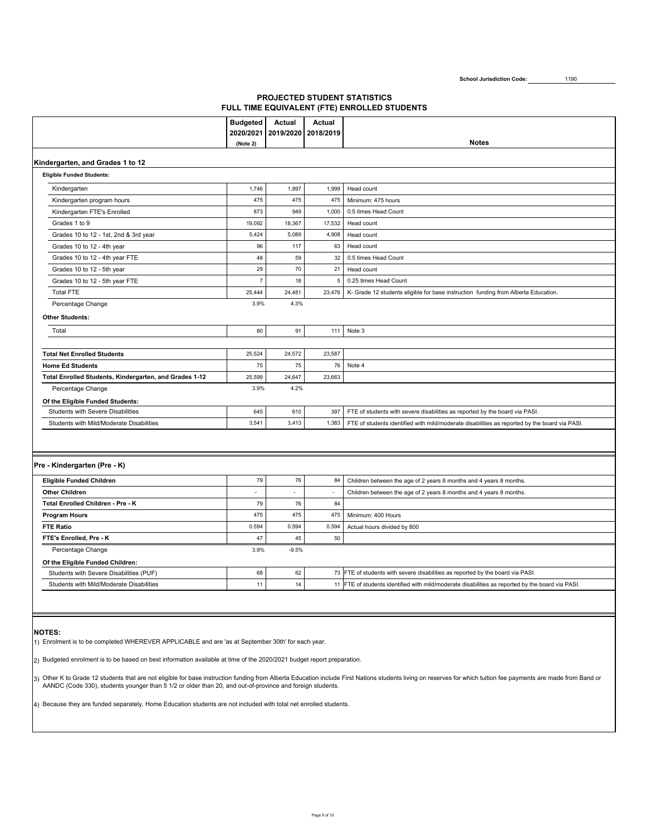School Jurisdiction Code: 1190

### **PROJECTED STUDENT STATISTICS FULL TIME EQUIVALENT (FTE) ENROLLED STUDENTS**

|                                                                                                                        | <b>Budgeted</b>       | Actual    | Actual    |                                                                                                  |
|------------------------------------------------------------------------------------------------------------------------|-----------------------|-----------|-----------|--------------------------------------------------------------------------------------------------|
|                                                                                                                        | 2020/2021<br>(Note 2) | 2019/2020 | 2018/2019 | <b>Notes</b>                                                                                     |
|                                                                                                                        |                       |           |           |                                                                                                  |
| Kindergarten, and Grades 1 to 12                                                                                       |                       |           |           |                                                                                                  |
| <b>Eligible Funded Students:</b>                                                                                       |                       |           |           |                                                                                                  |
| Kindergarten                                                                                                           | 1,746                 | 1,897     | 1,999     | Head count                                                                                       |
| Kindergarten program hours                                                                                             | 475                   | 475       | 475       | Minimum: 475 hours                                                                               |
| Kindergarten FTE's Enrolled                                                                                            | 873                   | 949       | 1,000     | 0.5 times Head Count                                                                             |
| Grades 1 to 9                                                                                                          | 19,092                | 18,367    | 17,532    | Head count                                                                                       |
| Grades 10 to 12 - 1st, 2nd & 3rd year                                                                                  | 5,424                 | 5,089     | 4,908     | Head count                                                                                       |
| Grades 10 to 12 - 4th year                                                                                             | 96                    | 117       | 63        | Head count                                                                                       |
| Grades 10 to 12 - 4th year FTE                                                                                         | 48                    | 59        | 32        | 0.5 times Head Count                                                                             |
| Grades 10 to 12 - 5th year                                                                                             | 29                    | 70        | 21        | Head count                                                                                       |
| Grades 10 to 12 - 5th year FTE                                                                                         | $\overline{7}$        | 18        | 5         | 0.25 times Head Count                                                                            |
| <b>Total FTE</b>                                                                                                       | 25,444                | 24,481    | 23,476    | K- Grade 12 students eligible for base instruction funding from Alberta Education.               |
| Percentage Change                                                                                                      | 3.9%                  | 4.3%      |           |                                                                                                  |
| <b>Other Students:</b>                                                                                                 |                       |           |           |                                                                                                  |
| Total                                                                                                                  | 80                    | 91        | 111       | Note 3                                                                                           |
|                                                                                                                        |                       |           |           |                                                                                                  |
| <b>Total Net Enrolled Students</b>                                                                                     | 25,524                | 24,572    | 23,587    |                                                                                                  |
| <b>Home Ed Students</b>                                                                                                | 75                    | 75        | 76        | Note 4                                                                                           |
| Total Enrolled Students, Kindergarten, and Grades 1-12                                                                 | 25,599                | 24,647    | 23,663    |                                                                                                  |
| Percentage Change                                                                                                      | 3.9%                  | 4.2%      |           |                                                                                                  |
| Of the Eligible Funded Students:                                                                                       |                       |           |           |                                                                                                  |
| <b>Students with Severe Disabilities</b>                                                                               | 645                   | 610       | 397       | FTE of students with severe disabilities as reported by the board via PASI.                      |
| Students with Mild/Moderate Disabilities                                                                               | 3,541                 | 3,413     | 1,383     | FTE of students identified with mild/moderate disabilities as reported by the board via PASI.    |
|                                                                                                                        |                       |           |           |                                                                                                  |
|                                                                                                                        |                       |           |           |                                                                                                  |
| Pre - Kindergarten (Pre - K)                                                                                           |                       |           |           |                                                                                                  |
| Eligible Funded Children                                                                                               | 79                    | 76        | 84        | Children between the age of 2 years 8 months and 4 years 8 months.                               |
| <b>Other Children</b>                                                                                                  | $\blacksquare$        |           | $\sim$    | Children between the age of 2 years 8 months and 4 years 8 months.                               |
| Total Enrolled Children - Pre - K                                                                                      | 79                    | 76        | 84        |                                                                                                  |
| <b>Program Hours</b>                                                                                                   | 475                   | 475       | 475       | Minimum: 400 Hours                                                                               |
| <b>FTE Ratio</b>                                                                                                       | 0.594                 | 0.594     | 0.594     | Actual hours divided by 800                                                                      |
| FTE's Enrolled, Pre - K                                                                                                | 47                    | 45        | 50        |                                                                                                  |
| Percentage Change                                                                                                      | 3.9%                  | $-9.5%$   |           |                                                                                                  |
| Of the Eligible Funded Children:                                                                                       |                       |           |           |                                                                                                  |
| Students with Severe Disabilities (PUF)                                                                                | 68                    | 62        |           | 73 FTE of students with severe disabilities as reported by the board via PASI.                   |
| Students with Mild/Moderate Disabilities                                                                               | 11                    | 14        |           | 11 FTE of students identified with mild/moderate disabilities as reported by the board via PASI. |
|                                                                                                                        |                       |           |           |                                                                                                  |
|                                                                                                                        |                       |           |           |                                                                                                  |
|                                                                                                                        |                       |           |           |                                                                                                  |
| <b>NOTES:</b>                                                                                                          |                       |           |           |                                                                                                  |
| 1) Enrolment is to be completed WHEREVER APPLICABLE and are 'as at September 30th' for each year.                      |                       |           |           |                                                                                                  |
| 2) Budgeted enrolment is to be based on best information available at time of the 2020/2021 budget report preparation. |                       |           |           |                                                                                                  |
|                                                                                                                        |                       |           |           |                                                                                                  |

3) Other K to Grade 12 students that are not eligible for base instruction funding from Alberta Education include First Nations students living on reserves for which tuition fee payments are made from Band or<br>AANDC (Code 3

4) Because they are funded separately, Home Education students are not included with total net enrolled students.